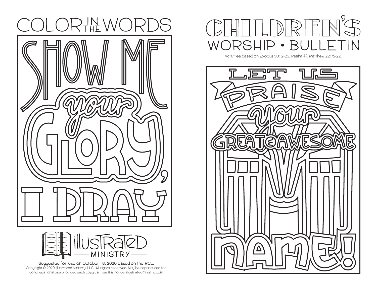



**Suggested for use on October 18, 2020 based on the RCL. Copyright ©️ 2020 Illustrated Ministry, LLC. All rights reserved. May be reproduced for congregational use provided each copy carries this notice. illustratedministry.com**



**Activities based on Exodus 33:12-23, Psalm 99, Matthew 22:15-22.**